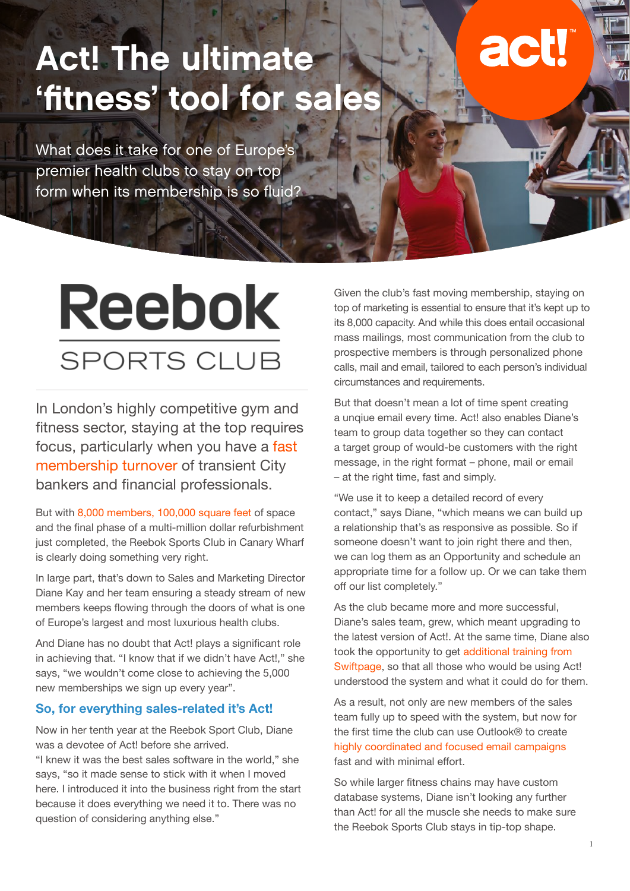## Act! The ultimate 'fitness' tool for sales

What does it take for one of Europe's premier health clubs to stay on top form when its membership is so fluid?

# Reebok **SPORTS CLUB**

In London's highly competitive gym and fitness sector, staying at the top requires focus, particularly when you have a fast membership turnover of transient City bankers and financial professionals.

But with 8,000 members, 100,000 square feet of space and the final phase of a multi-million dollar refurbishment just completed, the Reebok Sports Club in Canary Wharf is clearly doing something very right.

In large part, that's down to Sales and Marketing Director Diane Kay and her team ensuring a steady stream of new members keeps flowing through the doors of what is one of Europe's largest and most luxurious health clubs.

And Diane has no doubt that Act! plays a significant role in achieving that. "I know that if we didn't have Act!," she says, "we wouldn't come close to achieving the 5,000 new memberships we sign up every year".

#### **So, for everything sales-related it's Act!**

Now in her tenth year at the Reebok Sport Club, Diane was a devotee of Act! before she arrived.

"I knew it was the best sales software in the world," she says, "so it made sense to stick with it when I moved here. I introduced it into the business right from the start because it does everything we need it to. There was no question of considering anything else."

Given the club's fast moving membership, staying on top of marketing is essential to ensure that it's kept up to its 8,000 capacity. And while this does entail occasional mass mailings, most communication from the club to prospective members is through personalized phone calls, mail and email, tailored to each person's individual circumstances and requirements.

But that doesn't mean a lot of time spent creating a unqiue email every time. Act! also enables Diane's team to group data together so they can contact a target group of would-be customers with the right message, in the right format – phone, mail or email – at the right time, fast and simply.

"We use it to keep a detailed record of every contact," says Diane, "which means we can build up a relationship that's as responsive as possible. So if someone doesn't want to join right there and then, we can log them as an Opportunity and schedule an appropriate time for a follow up. Or we can take them off our list completely."

As the club became more and more successful, Diane's sales team, grew, which meant upgrading to the latest version of Act!. At the same time, Diane also took the opportunity to get additional training from Swiftpage, so that all those who would be using Act! understood the system and what it could do for them.

As a result, not only are new members of the sales team fully up to speed with the system, but now for the first time the club can use Outlook® to create highly coordinated and focused email campaigns fast and with minimal effort.

So while larger fitness chains may have custom database systems, Diane isn't looking any further than Act! for all the muscle she needs to make sure the Reebok Sports Club stays in tip-top shape.